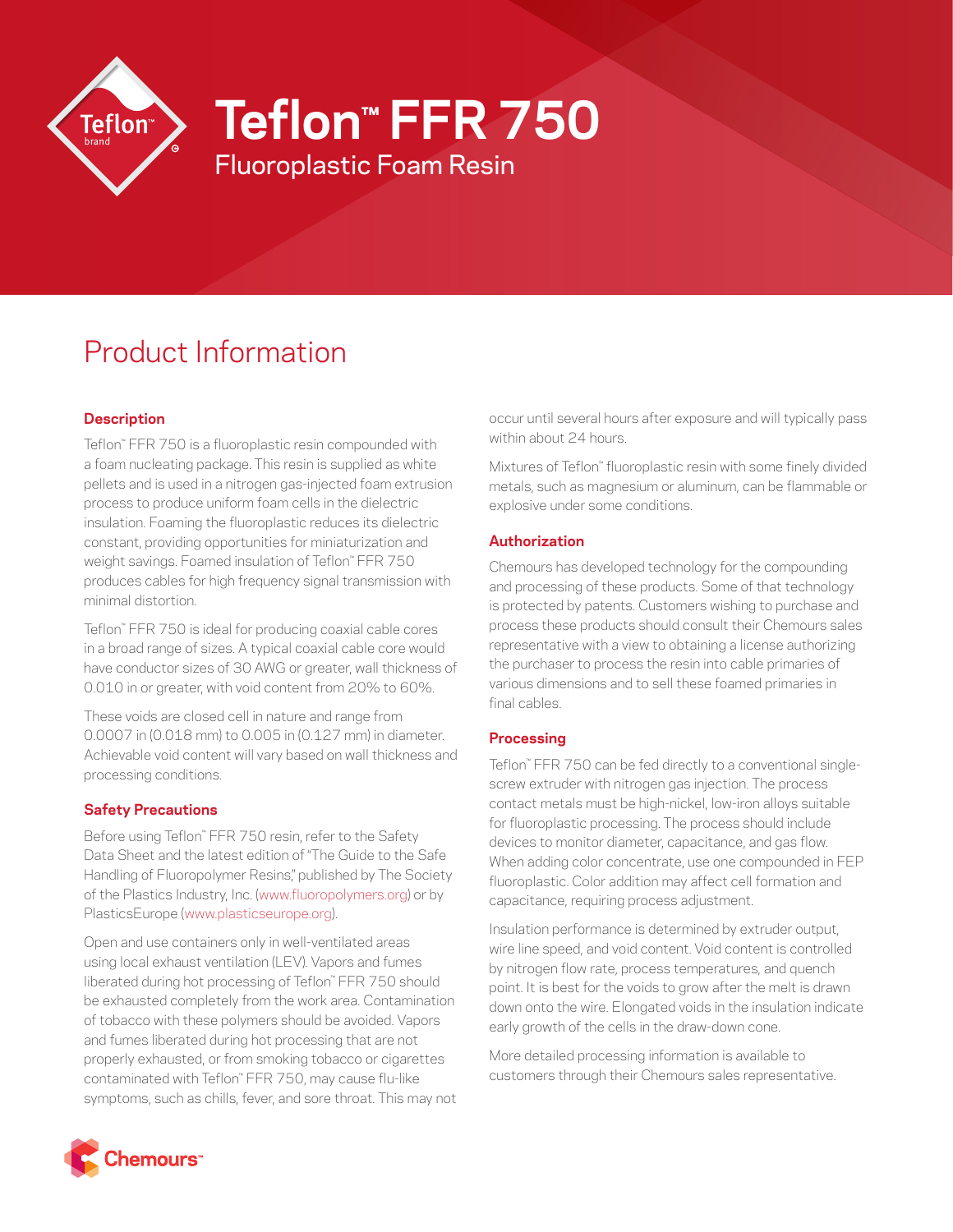

**Teflon™ FFR 750**

Fluoroplastic Foam Resin

# Product Information

## **Description**

Teflon™ FFR 750 is a fluoroplastic resin compounded with a foam nucleating package. This resin is supplied as white pellets and is used in a nitrogen gas-injected foam extrusion process to produce uniform foam cells in the dielectric insulation. Foaming the fluoroplastic reduces its dielectric constant, providing opportunities for miniaturization and weight savings. Foamed insulation of Teflon™ FFR 750 produces cables for high frequency signal transmission with minimal distortion.

Teflon™ FFR 750 is ideal for producing coaxial cable cores in a broad range of sizes. A typical coaxial cable core would have conductor sizes of 30 AWG or greater, wall thickness of 0.010 in or greater, with void content from 20% to 60%.

These voids are closed cell in nature and range from 0.0007 in (0.018 mm) to 0.005 in (0.127 mm) in diameter. Achievable void content will vary based on wall thickness and processing conditions.

## **Safety Precautions**

Before using Teflon™ FFR 750 resin, refer to the Safety Data Sheet and the latest edition of "The Guide to the Safe Handling of Fluoropolymer Resins," published by The Society of the Plastics Industry, Inc. [\(www.fluoropolymers.org\)](http://www.fluoropolymers.org) or by PlasticsEurope ([www.plasticseurope.org](http://www.plasticseurope.org)).

Open and use containers only in well-ventilated areas using local exhaust ventilation (LEV). Vapors and fumes liberated during hot processing of Teflon™ FFR 750 should be exhausted completely from the work area. Contamination of tobacco with these polymers should be avoided. Vapors and fumes liberated during hot processing that are not properly exhausted, or from smoking tobacco or cigarettes contaminated with Teflon™ FFR 750, may cause flu-like symptoms, such as chills, fever, and sore throat. This may not occur until several hours after exposure and will typically pass within about 24 hours.

Mixtures of Teflon™ fluoroplastic resin with some finely divided metals, such as magnesium or aluminum, can be flammable or explosive under some conditions.

## **Authorization**

Chemours has developed technology for the compounding and processing of these products. Some of that technology is protected by patents. Customers wishing to purchase and process these products should consult their Chemours sales representative with a view to obtaining a license authorizing the purchaser to process the resin into cable primaries of various dimensions and to sell these foamed primaries in final cables.

## **Processing**

Teflon™ FFR 750 can be fed directly to a conventional singlescrew extruder with nitrogen gas injection. The process contact metals must be high-nickel, low-iron alloys suitable for fluoroplastic processing. The process should include devices to monitor diameter, capacitance, and gas flow. When adding color concentrate, use one compounded in FEP fluoroplastic. Color addition may affect cell formation and capacitance, requiring process adjustment.

Insulation performance is determined by extruder output, wire line speed, and void content. Void content is controlled by nitrogen flow rate, process temperatures, and quench point. It is best for the voids to grow after the melt is drawn down onto the wire. Elongated voids in the insulation indicate early growth of the cells in the draw-down cone.

More detailed processing information is available to customers through their Chemours sales representative.